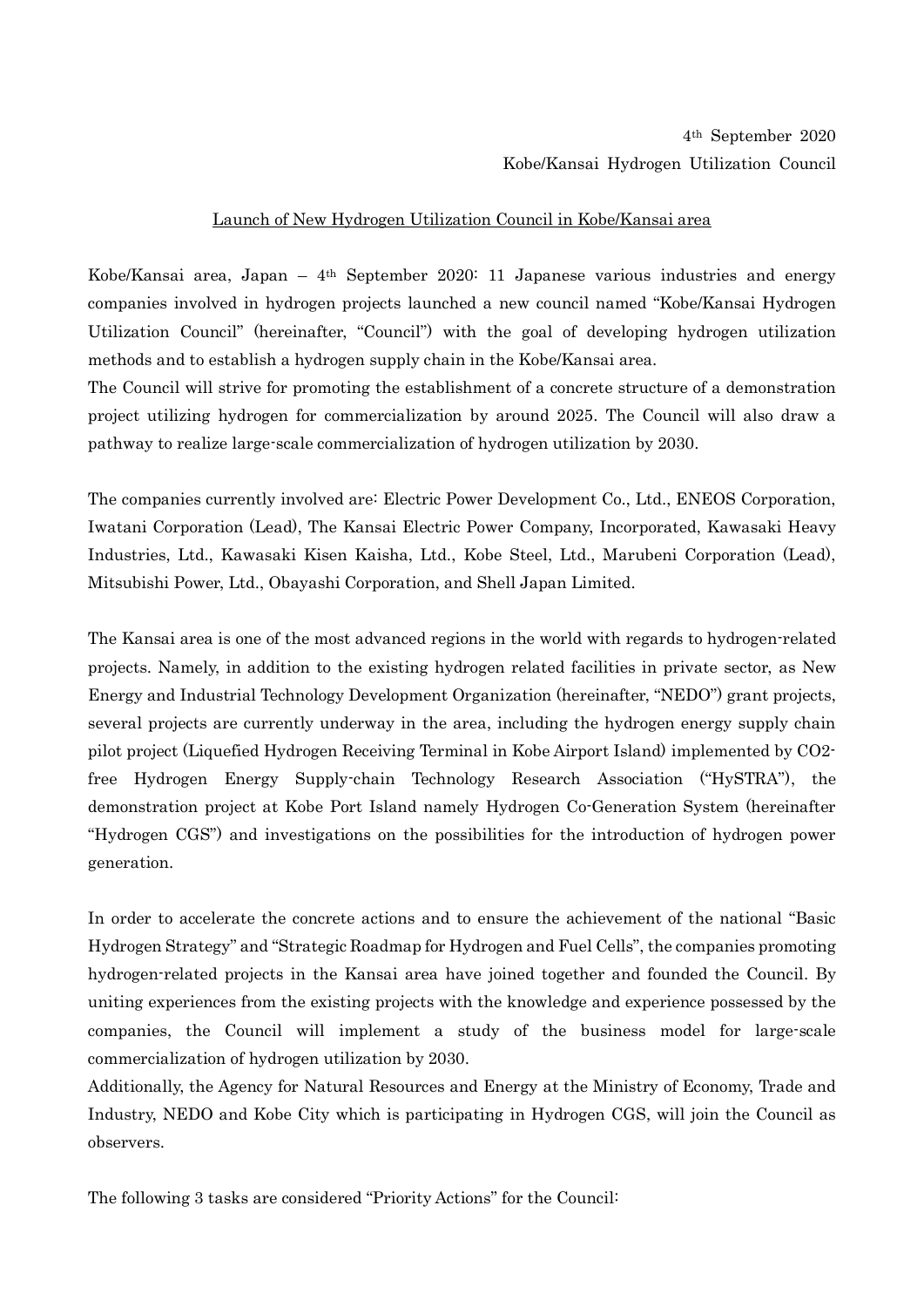## Launch of New Hydrogen Utilization Council in Kobe/Kansai area

Kobe/Kansai area, Japan – 4th September 2020: 11 Japanese various industries and energy companies involved in hydrogen projects launched a new council named "Kobe/Kansai Hydrogen Utilization Council" (hereinafter, "Council") with the goal of developing hydrogen utilization methods and to establish a hydrogen supply chain in the Kobe/Kansai area.

The Council will strive for promoting the establishment of a concrete structure of a demonstration project utilizing hydrogen for commercialization by around 2025. The Council will also draw a pathway to realize large-scale commercialization of hydrogen utilization by 2030.

The companies currently involved are: Electric Power Development Co., Ltd., ENEOS Corporation, Iwatani Corporation (Lead), The Kansai Electric Power Company, Incorporated, Kawasaki Heavy Industries, Ltd., Kawasaki Kisen Kaisha, Ltd., Kobe Steel, Ltd., Marubeni Corporation (Lead), Mitsubishi Power, Ltd., Obayashi Corporation, and Shell Japan Limited.

The Kansai area is one of the most advanced regions in the world with regards to hydrogen-related projects. Namely, in addition to the existing hydrogen related facilities in private sector, as New Energy and Industrial Technology Development Organization (hereinafter, "NEDO") grant projects, several projects are currently underway in the area, including the hydrogen energy supply chain pilot project (Liquefied Hydrogen Receiving Terminal in Kobe Airport Island) implemented by CO2 free Hydrogen Energy Supply-chain Technology Research Association ("HySTRA"), the demonstration project at Kobe Port Island namely Hydrogen Co-Generation System (hereinafter "Hydrogen CGS") and investigations on the possibilities for the introduction of hydrogen power generation.

In order to accelerate the concrete actions and to ensure the achievement of the national "Basic Hydrogen Strategy" and "Strategic Roadmap for Hydrogen and Fuel Cells", the companies promoting hydrogen-related projects in the Kansai area have joined together and founded the Council. By uniting experiences from the existing projects with the knowledge and experience possessed by the companies, the Council will implement a study of the business model for large-scale commercialization of hydrogen utilization by 2030.

Additionally, the Agency for Natural Resources and Energy at the Ministry of Economy, Trade and Industry, NEDO and Kobe City which is participating in Hydrogen CGS, will join the Council as observers.

The following 3 tasks are considered "Priority Actions" for the Council: